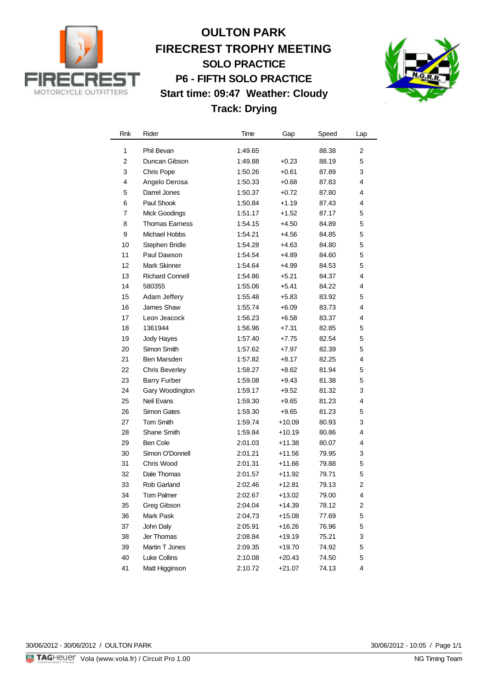

## **OULTON PARK FIRECREST TROPHY MEETING SOLO PRACTICE P6 - FIFTH SOLO PRACTICE Start time: 09:47 Weather: Cloudy Track: Drying**



| Rnk              | Rider                  | Time    | Gap      | Speed | Lap            |
|------------------|------------------------|---------|----------|-------|----------------|
| 1                | Phil Bevan             | 1:49.65 |          | 88.38 | 2              |
| $\boldsymbol{2}$ | Duncan Gibson          | 1:49.88 | $+0.23$  | 88.19 | 5              |
| 3                | Chris Pope             | 1:50.26 | $+0.61$  | 87.89 | 3              |
| 4                | Angelo Derosa          | 1:50.33 | $+0.68$  | 87.83 | 4              |
| 5                | Darrel Jones           | 1:50.37 | $+0.72$  | 87.80 | 4              |
| 6                | Paul Shook             | 1:50.84 | $+1.19$  | 87.43 | 4              |
| 7                | <b>Mick Goodings</b>   | 1:51.17 | $+1.52$  | 87.17 | 5              |
| 8                | <b>Thomas Earness</b>  | 1:54.15 | $+4.50$  | 84.89 | 5              |
| 9                | Michael Hobbs          | 1:54.21 | +4.56    | 84.85 | 5              |
| 10               | Stephen Bridle         | 1:54.28 | $+4.63$  | 84.80 | 5              |
| 11               | Paul Dawson            | 1:54.54 | +4.89    | 84.60 | 5              |
| 12               | <b>Mark Skinner</b>    | 1:54.64 | $+4.99$  | 84.53 | 5              |
| 13               | <b>Richard Connell</b> | 1:54.86 | $+5.21$  | 84.37 | 4              |
| 14               | 580355                 | 1:55.06 | $+5.41$  | 84.22 | 4              |
| 15               | Adam Jeffery           | 1:55.48 | $+5.83$  | 83.92 | 5              |
| 16               | James Shaw             | 1:55.74 | $+6.09$  | 83.73 | 4              |
| 17               | Leon Jeacock           | 1:56.23 | $+6.58$  | 83.37 | 4              |
| 18               | 1361944                | 1:56.96 | $+7.31$  | 82.85 | 5              |
| 19               | Jody Hayes             | 1:57.40 | $+7.75$  | 82.54 | 5              |
| 20               | Simon Smith            | 1:57.62 | +7.97    | 82.39 | 5              |
| 21               | Ben Marsden            | 1:57.82 | $+8.17$  | 82.25 | 4              |
| 22               | <b>Chris Beverley</b>  | 1:58.27 | $+8.62$  | 81.94 | 5              |
| 23               | <b>Barry Furber</b>    | 1:59.08 | $+9.43$  | 81.38 | 5              |
| 24               | Gary Woodington        | 1:59.17 | $+9.52$  | 81.32 | 3              |
| 25               | Neil Evans             | 1:59.30 | $+9.65$  | 81.23 | 4              |
| 26               | Simon Gates            | 1:59.30 | $+9.65$  | 81.23 | 5              |
| 27               | <b>Tom Smith</b>       | 1:59.74 | $+10.09$ | 80.93 | 3              |
| 28               | Shane Smith            | 1:59.84 | $+10.19$ | 80.86 | 4              |
| 29               | <b>Ben Cole</b>        | 2:01.03 | $+11.38$ | 80.07 | 4              |
| 30               | Simon O'Donnell        | 2:01.21 | $+11.56$ | 79.95 | 3              |
| 31               | Chris Wood             | 2:01.31 | $+11.66$ | 79.88 | 5              |
| 32               | Dale Thomas            | 2:01.57 | $+11.92$ | 79.71 | 5              |
| 33               | Rob Garland            | 2:02.46 | $+12.81$ | 79.13 | $\overline{c}$ |
| 34               | Tom Palmer             | 2:02.67 | $+13.02$ | 79.00 | 4              |
| 35               | Greg Gibson            | 2:04.04 | $+14.39$ | 78.12 | 2              |
| 36               | Mark Pask              | 2:04.73 | $+15.08$ | 77.69 | 5              |
| 37               | John Daly              | 2:05.91 | $+16.26$ | 76.96 | 5              |
| 38               | Jer Thomas             | 2:08.84 | $+19.19$ | 75.21 | 3              |
| 39               | Martin T Jones         | 2:09.35 | +19.70   | 74.92 | 5              |
| 40               | Luke Collins           | 2:10.08 | $+20.43$ | 74.50 | 5              |
| 41               | Matt Higginson         | 2:10.72 | $+21.07$ | 74.13 | 4              |

30/06/2012 - 30/06/2012 / OULTON PARK

30/06/2012 - 10:05 / Page 1/1<br>NG Timing Team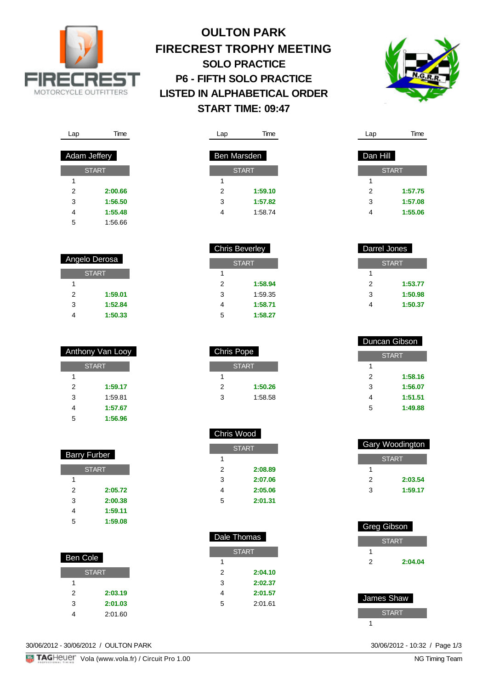

## **OULTON PARK FIRECREST TROPHY MEETING SOLO PRACTICE P6 - FIFTH SOLO PRACTICE LISTED IN ALPHABETICAL ORDER START TIME: 09:47**

Lap Time

**START** 

2 **1:59.10** 3 **1:57.82** 4 1:58.74

> 2 **1:58.94** 3 1:59.35 4 **1:58.71** 5 **1:58.27**

Ben Marsden

1



| Lap          | l ime                |
|--------------|----------------------|
|              |                      |
| Adam Jeffery |                      |
|              | <b>START</b>         |
| 1            |                      |
| 2            | 2:00.66              |
| 3            | 1:56.50              |
| 4            | 1:55.48              |
| -            | $\sim$ $\sim$ $\sim$ |

| Angelo Derosa |         |  |
|---------------|---------|--|
| <b>START</b>  |         |  |
| 1             |         |  |
| 2             | 1:59.01 |  |
| 3             | 1:52.84 |  |
|               | 1:50.33 |  |

| Anthony Van Looy |         |  |
|------------------|---------|--|
| <b>START</b>     |         |  |
| 1                |         |  |
| 2                | 1:59.17 |  |
| 3                | 1:59.81 |  |
| 4                | 1:57.67 |  |
| 5                | 1:56.96 |  |

| <b>Barry Furber</b> |         |  |
|---------------------|---------|--|
| <b>START</b>        |         |  |
| 1                   |         |  |
| 2                   | 2:05.72 |  |
| 3                   | 2:00.38 |  |
| 4                   | 1:59.11 |  |
| 5                   | 1:59.08 |  |

| Ben Cole     |  |  |
|--------------|--|--|
| <b>START</b> |  |  |
|              |  |  |
| 2:03.19      |  |  |
| 2:01.03      |  |  |
| 2:01.60      |  |  |
|              |  |  |

30/06/2012 - 30/06/2012 / OULTON PARK

Lap Time

| 2 | 2:00.66 |
|---|---------|
| 3 | 1:56.50 |
| 4 | 1:55.48 |
| 5 | 1:56.66 |
|   |         |

|                | <b>Chris Beverley</b> |
|----------------|-----------------------|
|                | <b>START</b>          |
| 1              |                       |
| $\overline{2}$ | 1:58.9                |
| 3              | 1:59.3                |
| 4              | 1:58.7                |
| 5              | 1:58.2                |
|                |                       |

| Chris Pope |              |  |
|------------|--------------|--|
|            | <b>START</b> |  |
| 1          |              |  |
| 2          | 1:50.26      |  |
| 3          | 1:58.58      |  |

| Chris Wood   |         |  |
|--------------|---------|--|
| <b>START</b> |         |  |
| 1            |         |  |
| 2            | 2:08.89 |  |
| 3            | 2:07.06 |  |
| 4            | 2:05.06 |  |
| 5            | 2:01.31 |  |

| Dale Thomas  |         |  |
|--------------|---------|--|
| <b>START</b> |         |  |
| 1            |         |  |
| 2            | 2:04.10 |  |
| 3            | 2:02.37 |  |
| 4            | 2:01.57 |  |
| 5            | 2:01.61 |  |
|              |         |  |

| Dan Hill |              |
|----------|--------------|
|          | <b>START</b> |
| 1        |              |
| 2        | 1:57.75      |
| 3        | 1:57.08      |
|          | 1:55.06      |

Lap Time

| Darrel Jones |         |
|--------------|---------|
| <b>START</b> |         |
|              |         |
| 2            | 1:53.77 |
| 3            | 1:50.98 |
|              | 1:50.37 |

| Duncan Gibson |         |
|---------------|---------|
| <b>START</b>  |         |
| 1             |         |
| 2             | 1:58.16 |
| 3             | 1:56.07 |
| 4             | 1:51.51 |
| 5             | 1:49.88 |

|              | Gary Woodington |
|--------------|-----------------|
| <b>START</b> |                 |
|              |                 |
| 2            | 2:03.54         |
| З            | 1:59.17         |

| <b>Greg Gibson</b> |         |
|--------------------|---------|
| <b>START</b>       |         |
| 1                  |         |
| 2                  | 2:04.04 |
|                    |         |



30/06/2012 - 10:32 / Page 1/3<br>NG Timing Team

**F3 TAGHeUEL** Vola (www.vola.fr) / Circuit Pro 1.00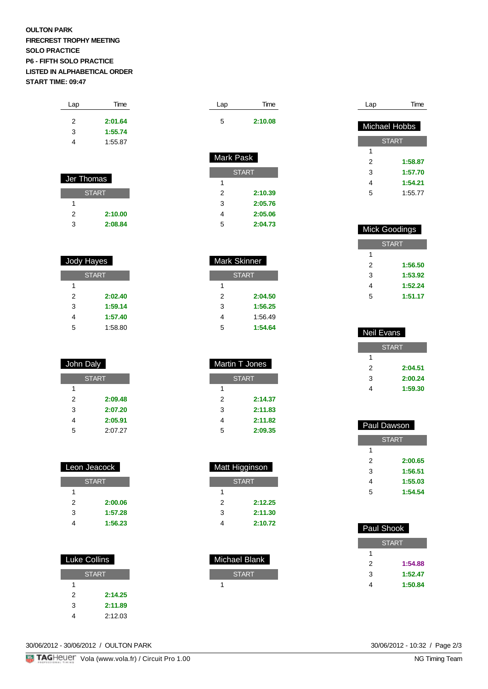## **OULTON PARK FIRECREST TROPHY MEETING SOLO PRACTICE P6 - FIFTH SOLO PRACTICE LISTED IN ALPHABETICAL ORDER START TIME: 09:47**

| Lap | Time    |
|-----|---------|
| 2   | 2:01.64 |
| 3   | 1:55.74 |
| 4   | 1:55.87 |
|     |         |

| Jer Thomas   |         |
|--------------|---------|
| <b>START</b> |         |
| 1            |         |
| 2            | 2:10.00 |
| つ            | 2:08.84 |

| Jody Hayes |
|------------|

| <b>START</b> |         |
|--------------|---------|
| 1            |         |
| 2            | 2:02.40 |
| 3            | 1:59.14 |
| 4            | 1:57.40 |
| 5            | 1:58.80 |

| John Daly    |         |
|--------------|---------|
| <b>START</b> |         |
| 1            |         |
| 2            | 2:09.48 |
| 3            | 2:07.20 |
| 4            | 2:05.91 |
| 5            | 2:07.27 |

| Leon Jeacock |         |  |
|--------------|---------|--|
| <b>START</b> |         |  |
|              |         |  |
| 2            | 2:00.06 |  |
| 3            | 1:57.28 |  |
|              | 1:56.23 |  |

| <b>Luke Collins</b> |         |
|---------------------|---------|
| <b>START</b>        |         |
|                     |         |
| 2                   | 2:14.25 |
| 3                   | 2:11.89 |
|                     | 2:12.03 |
|                     |         |

| Lap       | Time    |
|-----------|---------|
| 5         | 2:10.08 |
|           |         |
| Mark Pask |         |

| אט ו אוטו    |         |  |
|--------------|---------|--|
|              |         |  |
| <b>START</b> |         |  |
| 1            |         |  |
| 2            | 2:10.39 |  |
| 3            | 2:05.76 |  |
| 4            | 2:05.06 |  |
| 5            | 2:04.73 |  |

| Mark Skinner |         |  |
|--------------|---------|--|
| <b>START</b> |         |  |
| 1            |         |  |
| 2            | 2:04.50 |  |
| 3            | 1:56.25 |  |
| 4            | 1:56.49 |  |
| 5            | 1:54.64 |  |

| Martin T Jones |         |  |
|----------------|---------|--|
| <b>START</b>   |         |  |
| 1              |         |  |
| 2              | 2:14.37 |  |
| 3              | 2:11.83 |  |
| 4              | 2:11.82 |  |
| 5              | 2:09.35 |  |

| <b>Matt Higginson</b> |         |  |
|-----------------------|---------|--|
| <b>START</b>          |         |  |
| 1                     |         |  |
| 2                     | 2:12.25 |  |
| 3                     | 2:11.30 |  |
|                       | 2:10.72 |  |

| Michael Blank |  |  |
|---------------|--|--|
| <b>START</b>  |  |  |
|               |  |  |

| Lap           | Time         |
|---------------|--------------|
|               |              |
| Michael Hobbs |              |
|               | <b>START</b> |
| 1             |              |
| 2             | 1:58.87      |
| 3             | 1:57.70      |
| 4             | 1:54.21      |
| 5             | 1:55.77      |

| <b>Mick Goodings</b> |         |  |
|----------------------|---------|--|
| <b>START</b>         |         |  |
| 1                    |         |  |
| 2                    | 1:56.50 |  |
| 3                    | 1:53.92 |  |
| 4                    | 1:52.24 |  |
| 5                    | 1:51.17 |  |

| Neil Evans   |         |  |
|--------------|---------|--|
| <b>START</b> |         |  |
| 1            |         |  |
| 2            | 2:04.51 |  |
| 3            | 2:00.24 |  |
|              | 1:59.30 |  |

| Paul Dawson  |         |  |
|--------------|---------|--|
| <b>START</b> |         |  |
| 1            |         |  |
| 2            | 2:00.65 |  |
| 3            | 1:56.51 |  |
| 4            | 1:55.03 |  |
| 5            | 1:54.54 |  |

| Paul Shook   |         |  |
|--------------|---------|--|
| <b>START</b> |         |  |
| 1            |         |  |
| 2            | 1:54.88 |  |
| 3            | 1:52.47 |  |
|              | 1:50.84 |  |

30/06/2012 - 30/06/2012 / OULTON PARK

30/06/2012 - 10:32 / Page 2/3<br>NG Timing Team